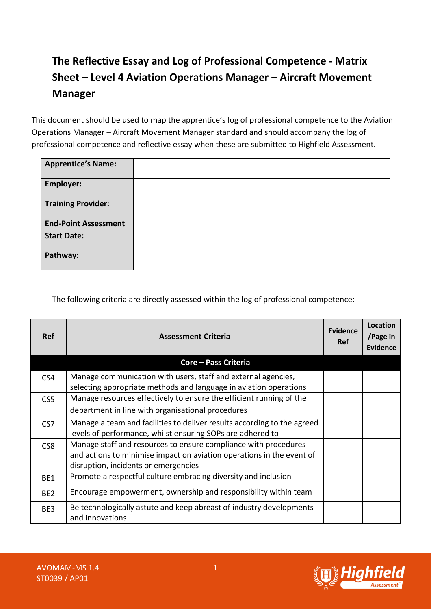## **The Reflective Essay and Log of Professional Competence - Matrix Sheet – Level 4 Aviation Operations Manager – Aircraft Movement Manager**

This document should be used to map the apprentice's log of professional competence to the Aviation Operations Manager – Aircraft Movement Manager standard and should accompany the log of professional competence and reflective essay when these are submitted to Highfield Assessment.

| <b>Apprentice's Name:</b>   |  |
|-----------------------------|--|
| <b>Employer:</b>            |  |
| <b>Training Provider:</b>   |  |
| <b>End-Point Assessment</b> |  |
| <b>Start Date:</b>          |  |
| Pathway:                    |  |

The following criteria are directly assessed within the log of professional competence:

| <b>Ref</b>      | <b>Assessment Criteria</b>                                                                                                                                                       | Evidence<br>Ref | Location<br>/Page in<br><b>Evidence</b> |
|-----------------|----------------------------------------------------------------------------------------------------------------------------------------------------------------------------------|-----------------|-----------------------------------------|
|                 | <b>Core - Pass Criteria</b>                                                                                                                                                      |                 |                                         |
| CS4             | Manage communication with users, staff and external agencies,<br>selecting appropriate methods and language in aviation operations                                               |                 |                                         |
| CS <sub>5</sub> | Manage resources effectively to ensure the efficient running of the                                                                                                              |                 |                                         |
|                 | department in line with organisational procedures                                                                                                                                |                 |                                         |
| CS <sub>7</sub> | Manage a team and facilities to deliver results according to the agreed<br>levels of performance, whilst ensuring SOPs are adhered to                                            |                 |                                         |
| CS <sub>8</sub> | Manage staff and resources to ensure compliance with procedures<br>and actions to minimise impact on aviation operations in the event of<br>disruption, incidents or emergencies |                 |                                         |
| BE1             | Promote a respectful culture embracing diversity and inclusion                                                                                                                   |                 |                                         |
| BE <sub>2</sub> | Encourage empowerment, ownership and responsibility within team                                                                                                                  |                 |                                         |
| BE3             | Be technologically astute and keep abreast of industry developments<br>and innovations                                                                                           |                 |                                         |

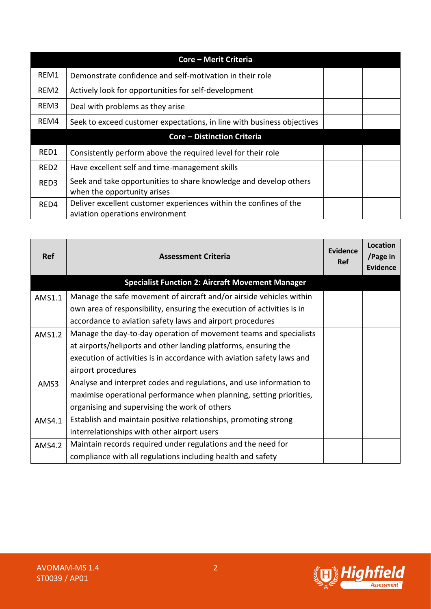| <b>Core - Merit Criteria</b>       |                                                                                                      |  |  |
|------------------------------------|------------------------------------------------------------------------------------------------------|--|--|
| REM1                               | Demonstrate confidence and self-motivation in their role                                             |  |  |
| REM <sub>2</sub>                   | Actively look for opportunities for self-development                                                 |  |  |
| REM3                               | Deal with problems as they arise                                                                     |  |  |
| REM4                               | Seek to exceed customer expectations, in line with business objectives                               |  |  |
| <b>Core - Distinction Criteria</b> |                                                                                                      |  |  |
| RED1                               | Consistently perform above the required level for their role                                         |  |  |
| RED <sub>2</sub>                   | Have excellent self and time-management skills                                                       |  |  |
| RED3                               | Seek and take opportunities to share knowledge and develop others<br>when the opportunity arises     |  |  |
| RED4                               | Deliver excellent customer experiences within the confines of the<br>aviation operations environment |  |  |

| <b>Ref</b> | <b>Assessment Criteria</b>                                             | Evidence<br>Ref | Location<br>/Page in<br>Evidence |
|------------|------------------------------------------------------------------------|-----------------|----------------------------------|
|            | <b>Specialist Function 2: Aircraft Movement Manager</b>                |                 |                                  |
| AMS1.1     | Manage the safe movement of aircraft and/or airside vehicles within    |                 |                                  |
|            | own area of responsibility, ensuring the execution of activities is in |                 |                                  |
|            | accordance to aviation safety laws and airport procedures              |                 |                                  |
| AMS1.2     | Manage the day-to-day operation of movement teams and specialists      |                 |                                  |
|            | at airports/heliports and other landing platforms, ensuring the        |                 |                                  |
|            | execution of activities is in accordance with aviation safety laws and |                 |                                  |
|            | airport procedures                                                     |                 |                                  |
| AMS3       | Analyse and interpret codes and regulations, and use information to    |                 |                                  |
|            | maximise operational performance when planning, setting priorities,    |                 |                                  |
|            | organising and supervising the work of others                          |                 |                                  |
| AMS4.1     | Establish and maintain positive relationships, promoting strong        |                 |                                  |
|            | interrelationships with other airport users                            |                 |                                  |
| AMS4.2     | Maintain records required under regulations and the need for           |                 |                                  |
|            | compliance with all regulations including health and safety            |                 |                                  |

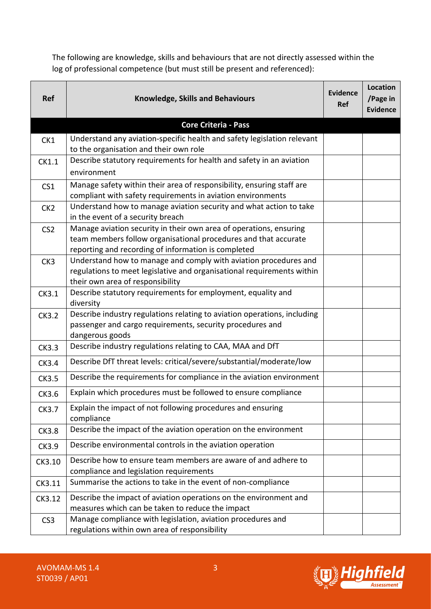The following are knowledge, skills and behaviours that are not directly assessed within the log of professional competence (but must still be present and referenced):

| <b>Ref</b>      | <b>Knowledge, Skills and Behaviours</b>                                                                                                                                                      | Evidence<br><b>Ref</b> | <b>Location</b><br>/Page in<br><b>Evidence</b> |
|-----------------|----------------------------------------------------------------------------------------------------------------------------------------------------------------------------------------------|------------------------|------------------------------------------------|
|                 | <b>Core Criteria - Pass</b>                                                                                                                                                                  |                        |                                                |
| CK1             | Understand any aviation-specific health and safety legislation relevant<br>to the organisation and their own role                                                                            |                        |                                                |
| CK1.1           | Describe statutory requirements for health and safety in an aviation<br>environment                                                                                                          |                        |                                                |
| CS <sub>1</sub> | Manage safety within their area of responsibility, ensuring staff are<br>compliant with safety requirements in aviation environments                                                         |                        |                                                |
| CK <sub>2</sub> | Understand how to manage aviation security and what action to take<br>in the event of a security breach                                                                                      |                        |                                                |
| CS <sub>2</sub> | Manage aviation security in their own area of operations, ensuring<br>team members follow organisational procedures and that accurate<br>reporting and recording of information is completed |                        |                                                |
| CK3             | Understand how to manage and comply with aviation procedures and<br>regulations to meet legislative and organisational requirements within<br>their own area of responsibility               |                        |                                                |
| CK3.1           | Describe statutory requirements for employment, equality and<br>diversity                                                                                                                    |                        |                                                |
| <b>CK3.2</b>    | Describe industry regulations relating to aviation operations, including<br>passenger and cargo requirements, security procedures and<br>dangerous goods                                     |                        |                                                |
| <b>CK3.3</b>    | Describe industry regulations relating to CAA, MAA and DfT                                                                                                                                   |                        |                                                |
| CK3.4           | Describe DfT threat levels: critical/severe/substantial/moderate/low                                                                                                                         |                        |                                                |
| CK3.5           | Describe the requirements for compliance in the aviation environment                                                                                                                         |                        |                                                |
| CK3.6           | Explain which procedures must be followed to ensure compliance                                                                                                                               |                        |                                                |
| CK3.7           | Explain the impact of not following procedures and ensuring<br>compliance                                                                                                                    |                        |                                                |
| <b>CK3.8</b>    | Describe the impact of the aviation operation on the environment                                                                                                                             |                        |                                                |
| CK3.9           | Describe environmental controls in the aviation operation                                                                                                                                    |                        |                                                |
| CK3.10          | Describe how to ensure team members are aware of and adhere to<br>compliance and legislation requirements                                                                                    |                        |                                                |
| CK3.11          | Summarise the actions to take in the event of non-compliance                                                                                                                                 |                        |                                                |
| CK3.12          | Describe the impact of aviation operations on the environment and<br>measures which can be taken to reduce the impact                                                                        |                        |                                                |
| CS <sub>3</sub> | Manage compliance with legislation, aviation procedures and<br>regulations within own area of responsibility                                                                                 |                        |                                                |

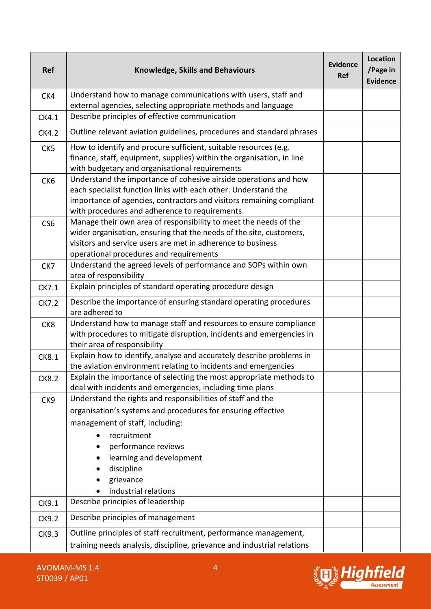| <b>Ref</b>      | <b>Knowledge, Skills and Behaviours</b>                                                                                                                                                                                                                      | <b>Evidence</b><br><b>Ref</b> | <b>Location</b><br>/Page in<br><b>Evidence</b> |
|-----------------|--------------------------------------------------------------------------------------------------------------------------------------------------------------------------------------------------------------------------------------------------------------|-------------------------------|------------------------------------------------|
| CK4             | Understand how to manage communications with users, staff and<br>external agencies, selecting appropriate methods and language                                                                                                                               |                               |                                                |
| CK4.1           | Describe principles of effective communication                                                                                                                                                                                                               |                               |                                                |
| <b>CK4.2</b>    | Outline relevant aviation guidelines, procedures and standard phrases                                                                                                                                                                                        |                               |                                                |
| CK <sub>5</sub> | How to identify and procure sufficient, suitable resources (e.g.<br>finance, staff, equipment, supplies) within the organisation, in line<br>with budgetary and organisational requirements                                                                  |                               |                                                |
| CK <sub>6</sub> | Understand the importance of cohesive airside operations and how<br>each specialist function links with each other. Understand the<br>importance of agencies, contractors and visitors remaining compliant<br>with procedures and adherence to requirements. |                               |                                                |
| CS <sub>6</sub> | Manage their own area of responsibility to meet the needs of the<br>wider organisation, ensuring that the needs of the site, customers,<br>visitors and service users are met in adherence to business<br>operational procedures and requirements            |                               |                                                |
| CK7             | Understand the agreed levels of performance and SOPs within own<br>area of responsibility                                                                                                                                                                    |                               |                                                |
| CK7.1           | Explain principles of standard operating procedure design                                                                                                                                                                                                    |                               |                                                |
| <b>CK7.2</b>    | Describe the importance of ensuring standard operating procedures<br>are adhered to                                                                                                                                                                          |                               |                                                |
| CK8             | Understand how to manage staff and resources to ensure compliance<br>with procedures to mitigate disruption, incidents and emergencies in<br>their area of responsibility                                                                                    |                               |                                                |
| <b>CK8.1</b>    | Explain how to identify, analyse and accurately describe problems in<br>the aviation environment relating to incidents and emergencies                                                                                                                       |                               |                                                |
| CK8.2           | Explain the importance of selecting the most appropriate methods to<br>deal with incidents and emergencies, including time plans                                                                                                                             |                               |                                                |
| CK9             | Understand the rights and responsibilities of staff and the<br>organisation's systems and procedures for ensuring effective                                                                                                                                  |                               |                                                |
|                 | management of staff, including:<br>recruitment<br>performance reviews                                                                                                                                                                                        |                               |                                                |
|                 | learning and development<br>discipline                                                                                                                                                                                                                       |                               |                                                |
|                 | grievance<br>industrial relations                                                                                                                                                                                                                            |                               |                                                |
| CK9.1           | Describe principles of leadership                                                                                                                                                                                                                            |                               |                                                |
| <b>CK9.2</b>    | Describe principles of management                                                                                                                                                                                                                            |                               |                                                |
| <b>CK9.3</b>    | Outline principles of staff recruitment, performance management,<br>training needs analysis, discipline, grievance and industrial relations                                                                                                                  |                               |                                                |

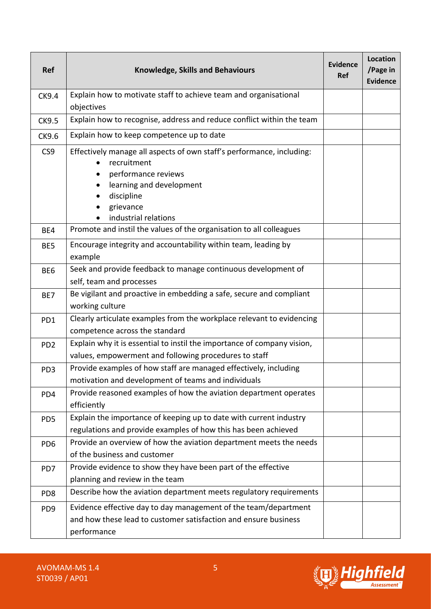| <b>Ref</b>      | <b>Knowledge, Skills and Behaviours</b>                                                                                                                                                    | <b>Evidence</b><br><b>Ref</b> | <b>Location</b><br>/Page in<br><b>Evidence</b> |
|-----------------|--------------------------------------------------------------------------------------------------------------------------------------------------------------------------------------------|-------------------------------|------------------------------------------------|
| CK9.4           | Explain how to motivate staff to achieve team and organisational<br>objectives                                                                                                             |                               |                                                |
| <b>CK9.5</b>    | Explain how to recognise, address and reduce conflict within the team                                                                                                                      |                               |                                                |
| CK9.6           | Explain how to keep competence up to date                                                                                                                                                  |                               |                                                |
| CS <sub>9</sub> | Effectively manage all aspects of own staff's performance, including:<br>recruitment<br>performance reviews<br>learning and development<br>discipline<br>grievance<br>industrial relations |                               |                                                |
| BE4             | Promote and instil the values of the organisation to all colleagues                                                                                                                        |                               |                                                |
| BE5             | Encourage integrity and accountability within team, leading by<br>example                                                                                                                  |                               |                                                |
| BE <sub>6</sub> | Seek and provide feedback to manage continuous development of<br>self, team and processes                                                                                                  |                               |                                                |
| BE7             | Be vigilant and proactive in embedding a safe, secure and compliant<br>working culture                                                                                                     |                               |                                                |
| PD1             | Clearly articulate examples from the workplace relevant to evidencing<br>competence across the standard                                                                                    |                               |                                                |
| PD <sub>2</sub> | Explain why it is essential to instil the importance of company vision,<br>values, empowerment and following procedures to staff                                                           |                               |                                                |
| PD <sub>3</sub> | Provide examples of how staff are managed effectively, including<br>motivation and development of teams and individuals                                                                    |                               |                                                |
| PD4             | Provide reasoned examples of how the aviation department operates<br>efficiently                                                                                                           |                               |                                                |
| PD <sub>5</sub> | Explain the importance of keeping up to date with current industry<br>regulations and provide examples of how this has been achieved                                                       |                               |                                                |
| PD <sub>6</sub> | Provide an overview of how the aviation department meets the needs<br>of the business and customer                                                                                         |                               |                                                |
| PD7             | Provide evidence to show they have been part of the effective<br>planning and review in the team                                                                                           |                               |                                                |
| PD <sub>8</sub> | Describe how the aviation department meets regulatory requirements                                                                                                                         |                               |                                                |
| PD <sub>9</sub> | Evidence effective day to day management of the team/department<br>and how these lead to customer satisfaction and ensure business<br>performance                                          |                               |                                                |

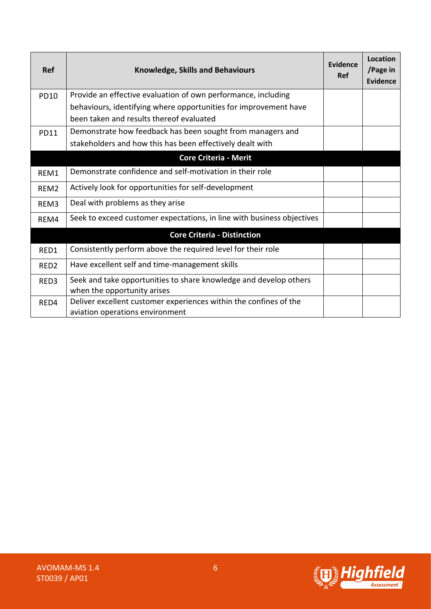| <b>Ref</b>       | <b>Knowledge, Skills and Behaviours</b>                                | Evidence<br><b>Ref</b> | <b>Location</b><br>/Page in<br><b>Evidence</b> |
|------------------|------------------------------------------------------------------------|------------------------|------------------------------------------------|
| <b>PD10</b>      | Provide an effective evaluation of own performance, including          |                        |                                                |
|                  | behaviours, identifying where opportunities for improvement have       |                        |                                                |
|                  | been taken and results thereof evaluated                               |                        |                                                |
| <b>PD11</b>      | Demonstrate how feedback has been sought from managers and             |                        |                                                |
|                  | stakeholders and how this has been effectively dealt with              |                        |                                                |
|                  | <b>Core Criteria - Merit</b>                                           |                        |                                                |
| REM1             | Demonstrate confidence and self-motivation in their role               |                        |                                                |
| REM <sub>2</sub> | Actively look for opportunities for self-development                   |                        |                                                |
| REM <sub>3</sub> | Deal with problems as they arise                                       |                        |                                                |
| REM4             | Seek to exceed customer expectations, in line with business objectives |                        |                                                |
|                  | <b>Core Criteria - Distinction</b>                                     |                        |                                                |
| RED1             | Consistently perform above the required level for their role           |                        |                                                |
| RED <sub>2</sub> | Have excellent self and time-management skills                         |                        |                                                |
| RED3             | Seek and take opportunities to share knowledge and develop others      |                        |                                                |
|                  | when the opportunity arises                                            |                        |                                                |
| RED4             | Deliver excellent customer experiences within the confines of the      |                        |                                                |
|                  | aviation operations environment                                        |                        |                                                |

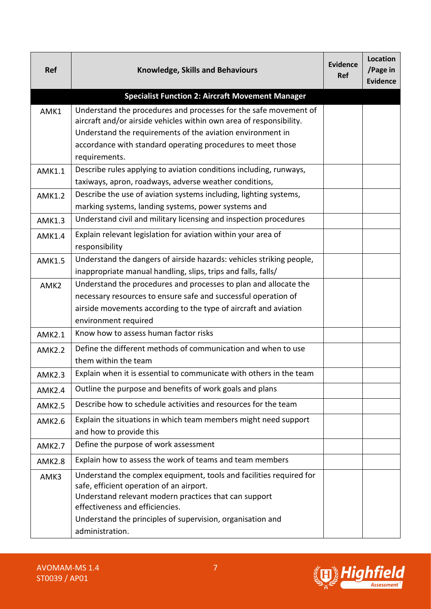| <b>Ref</b>       | <b>Knowledge, Skills and Behaviours</b>                                                  | <b>Evidence</b><br><b>Ref</b> | <b>Location</b><br>/Page in<br><b>Evidence</b> |
|------------------|------------------------------------------------------------------------------------------|-------------------------------|------------------------------------------------|
|                  | <b>Specialist Function 2: Aircraft Movement Manager</b>                                  |                               |                                                |
| AMK1             | Understand the procedures and processes for the safe movement of                         |                               |                                                |
|                  | aircraft and/or airside vehicles within own area of responsibility.                      |                               |                                                |
|                  | Understand the requirements of the aviation environment in                               |                               |                                                |
|                  | accordance with standard operating procedures to meet those<br>requirements.             |                               |                                                |
| <b>AMK1.1</b>    | Describe rules applying to aviation conditions including, runways,                       |                               |                                                |
|                  | taxiways, apron, roadways, adverse weather conditions,                                   |                               |                                                |
| <b>AMK1.2</b>    | Describe the use of aviation systems including, lighting systems,                        |                               |                                                |
|                  | marking systems, landing systems, power systems and                                      |                               |                                                |
| <b>AMK1.3</b>    | Understand civil and military licensing and inspection procedures                        |                               |                                                |
| <b>AMK1.4</b>    | Explain relevant legislation for aviation within your area of<br>responsibility          |                               |                                                |
| <b>AMK1.5</b>    | Understand the dangers of airside hazards: vehicles striking people,                     |                               |                                                |
|                  | inappropriate manual handling, slips, trips and falls, falls/                            |                               |                                                |
| AMK <sub>2</sub> | Understand the procedures and processes to plan and allocate the                         |                               |                                                |
|                  | necessary resources to ensure safe and successful operation of                           |                               |                                                |
|                  | airside movements according to the type of aircraft and aviation                         |                               |                                                |
|                  | environment required                                                                     |                               |                                                |
| <b>AMK2.1</b>    | Know how to assess human factor risks                                                    |                               |                                                |
| <b>AMK2.2</b>    | Define the different methods of communication and when to use                            |                               |                                                |
|                  | them within the team                                                                     |                               |                                                |
| <b>AMK2.3</b>    | Explain when it is essential to communicate with others in the team                      |                               |                                                |
| <b>AMK2.4</b>    | Outline the purpose and benefits of work goals and plans                                 |                               |                                                |
| <b>AMK2.5</b>    | Describe how to schedule activities and resources for the team                           |                               |                                                |
| <b>AMK2.6</b>    | Explain the situations in which team members might need support                          |                               |                                                |
|                  | and how to provide this                                                                  |                               |                                                |
| <b>AMK2.7</b>    | Define the purpose of work assessment                                                    |                               |                                                |
| <b>AMK2.8</b>    | Explain how to assess the work of teams and team members                                 |                               |                                                |
| AMK3             | Understand the complex equipment, tools and facilities required for                      |                               |                                                |
|                  | safe, efficient operation of an airport.                                                 |                               |                                                |
|                  | Understand relevant modern practices that can support<br>effectiveness and efficiencies. |                               |                                                |
|                  | Understand the principles of supervision, organisation and                               |                               |                                                |
|                  | administration.                                                                          |                               |                                                |

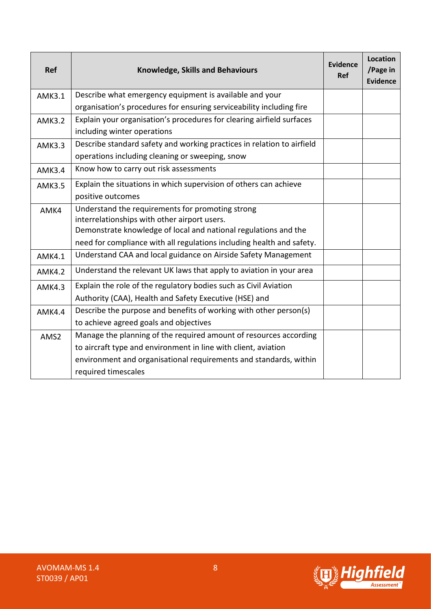| <b>Ref</b>       | <b>Knowledge, Skills and Behaviours</b>                                | <b>Evidence</b><br><b>Ref</b> | <b>Location</b><br>/Page in<br><b>Evidence</b> |
|------------------|------------------------------------------------------------------------|-------------------------------|------------------------------------------------|
| <b>AMK3.1</b>    | Describe what emergency equipment is available and your                |                               |                                                |
|                  | organisation's procedures for ensuring serviceability including fire   |                               |                                                |
| <b>AMK3.2</b>    | Explain your organisation's procedures for clearing airfield surfaces  |                               |                                                |
|                  | including winter operations                                            |                               |                                                |
| <b>AMK3.3</b>    | Describe standard safety and working practices in relation to airfield |                               |                                                |
|                  | operations including cleaning or sweeping, snow                        |                               |                                                |
| <b>AMK3.4</b>    | Know how to carry out risk assessments                                 |                               |                                                |
| <b>AMK3.5</b>    | Explain the situations in which supervision of others can achieve      |                               |                                                |
|                  | positive outcomes                                                      |                               |                                                |
| AMK4             | Understand the requirements for promoting strong                       |                               |                                                |
|                  | interrelationships with other airport users.                           |                               |                                                |
|                  | Demonstrate knowledge of local and national regulations and the        |                               |                                                |
|                  | need for compliance with all regulations including health and safety.  |                               |                                                |
| <b>AMK4.1</b>    | Understand CAA and local guidance on Airside Safety Management         |                               |                                                |
| <b>AMK4.2</b>    | Understand the relevant UK laws that apply to aviation in your area    |                               |                                                |
| <b>AMK4.3</b>    | Explain the role of the regulatory bodies such as Civil Aviation       |                               |                                                |
|                  | Authority (CAA), Health and Safety Executive (HSE) and                 |                               |                                                |
| <b>AMK4.4</b>    | Describe the purpose and benefits of working with other person(s)      |                               |                                                |
|                  | to achieve agreed goals and objectives                                 |                               |                                                |
| AMS <sub>2</sub> | Manage the planning of the required amount of resources according      |                               |                                                |
|                  | to aircraft type and environment in line with client, aviation         |                               |                                                |
|                  | environment and organisational requirements and standards, within      |                               |                                                |
|                  | required timescales                                                    |                               |                                                |